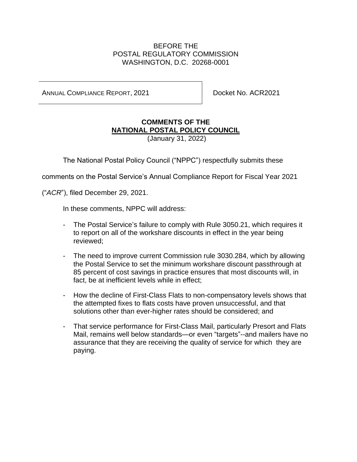# BEFORE THE POSTAL REGULATORY COMMISSION WASHINGTON, D.C. 20268-0001

ANNUAL COMPLIANCE REPORT, 2021 **Docket No. ACR2021** 

# **COMMENTS OF THE NATIONAL POSTAL POLICY COUNCIL**

(January 31, 2022)

The National Postal Policy Council ("NPPC") respectfully submits these

comments on the Postal Service's Annual Compliance Report for Fiscal Year 2021

("*ACR*"), filed December 29, 2021.

In these comments, NPPC will address:

- The Postal Service's failure to comply with Rule 3050.21, which requires it to report on all of the workshare discounts in effect in the year being reviewed;
- The need to improve current Commission rule 3030.284, which by allowing the Postal Service to set the minimum workshare discount passthrough at 85 percent of cost savings in practice ensures that most discounts will, in fact, be at inefficient levels while in effect;
- How the decline of First-Class Flats to non-compensatory levels shows that the attempted fixes to flats costs have proven unsuccessful, and that solutions other than ever-higher rates should be considered; and
- That service performance for First-Class Mail, particularly Presort and Flats Mail, remains well below standards—or even "targets"--and mailers have no assurance that they are receiving the quality of service for which they are paying.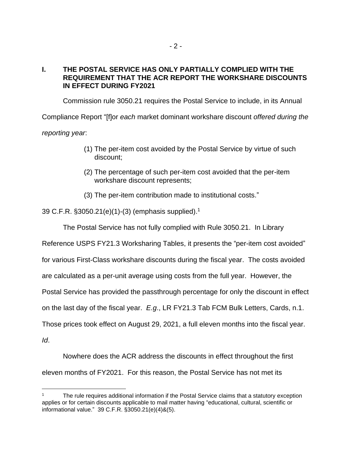#### **I. THE POSTAL SERVICE HAS ONLY PARTIALLY COMPLIED WITH THE REQUIREMENT THAT THE ACR REPORT THE WORKSHARE DISCOUNTS IN EFFECT DURING FY2021**

Commission rule 3050.21 requires the Postal Service to include, in its Annual

Compliance Report "[f]or *each* market dominant workshare discount *offered during the reporting year*:

- (1) The per-item cost avoided by the Postal Service by virtue of such discount;
- (2) The percentage of such per-item cost avoided that the per-item workshare discount represents;
- (3) The per-item contribution made to institutional costs."

39 C.F.R. §3050.21(e)(1)-(3) (emphasis supplied). 1

The Postal Service has not fully complied with Rule 3050.21. In Library

Reference USPS FY21.3 Worksharing Tables, it presents the "per-item cost avoided"

for various First-Class workshare discounts during the fiscal year. The costs avoided

are calculated as a per-unit average using costs from the full year. However, the

Postal Service has provided the passthrough percentage for only the discount in effect

on the last day of the fiscal year. *E.g*., LR FY21.3 Tab FCM Bulk Letters, Cards, n.1.

Those prices took effect on August 29, 2021, a full eleven months into the fiscal year.

*Id*.

Nowhere does the ACR address the discounts in effect throughout the first eleven months of FY2021. For this reason, the Postal Service has not met its

<sup>1</sup> The rule requires additional information if the Postal Service claims that a statutory exception applies or for certain discounts applicable to mail matter having "educational, cultural, scientific or informational value." 39 C.F.R. §3050.21(e)(4)&(5).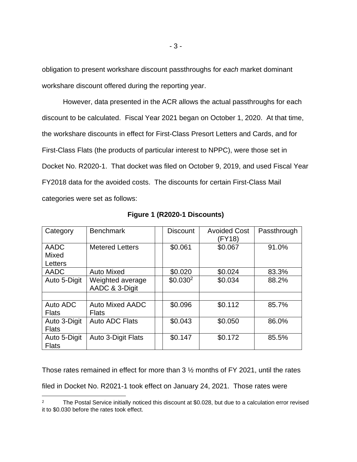obligation to present workshare discount passthroughs for *each* market dominant workshare discount offered during the reporting year.

However, data presented in the ACR allows the actual passthroughs for each discount to be calculated. Fiscal Year 2021 began on October 1, 2020. At that time, the workshare discounts in effect for First-Class Presort Letters and Cards, and for First-Class Flats (the products of particular interest to NPPC), were those set in Docket No. R2020-1. That docket was filed on October 9, 2019, and used Fiscal Year FY2018 data for the avoided costs. The discounts for certain First-Class Mail categories were set as follows:

| Category     | <b>Benchmark</b>       | <b>Discount</b>      | <b>Avoided Cost</b><br>(FY18) | Passthrough |
|--------------|------------------------|----------------------|-------------------------------|-------------|
| <b>AADC</b>  | <b>Metered Letters</b> | \$0.061              | \$0.067                       | 91.0%       |
| Mixed        |                        |                      |                               |             |
| Letters      |                        |                      |                               |             |
| AADC         | <b>Auto Mixed</b>      | \$0.020              | \$0.024                       | 83.3%       |
| Auto 5-Digit | Weighted average       | \$0.030 <sup>2</sup> | \$0.034                       | 88.2%       |
|              | AADC & 3-Digit         |                      |                               |             |
|              |                        |                      |                               |             |
| Auto ADC     | Auto Mixed AADC        | \$0.096              | \$0.112                       | 85.7%       |
| <b>Flats</b> | <b>Flats</b>           |                      |                               |             |
| Auto 3-Digit | Auto ADC Flats         | \$0.043              | \$0.050                       | 86.0%       |
| <b>Flats</b> |                        |                      |                               |             |
| Auto 5-Digit | Auto 3-Digit Flats     | \$0.147              | \$0.172                       | 85.5%       |
| <b>Flats</b> |                        |                      |                               |             |

**Figure 1 (R2020-1 Discounts)**

Those rates remained in effect for more than 3 ½ months of FY 2021, until the rates

filed in Docket No. R2021-1 took effect on January 24, 2021. Those rates were

<sup>&</sup>lt;sup>2</sup> The Postal Service initially noticed this discount at \$0.028, but due to a calculation error revised it to \$0.030 before the rates took effect.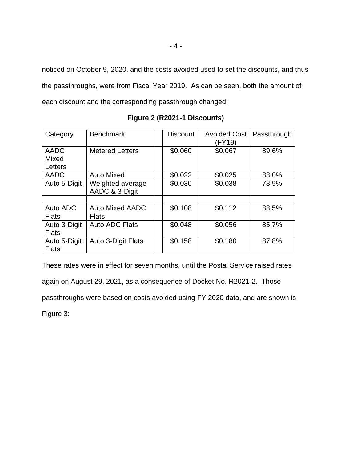noticed on October 9, 2020, and the costs avoided used to set the discounts, and thus the passthroughs, were from Fiscal Year 2019. As can be seen, both the amount of each discount and the corresponding passthrough changed:

| Category                     | <b>Benchmark</b>                       | <b>Discount</b> | <b>Avoided Cost</b><br>(FY19) | Passthrough |
|------------------------------|----------------------------------------|-----------------|-------------------------------|-------------|
| <b>AADC</b><br>Mixed         | <b>Metered Letters</b>                 | \$0.060         | \$0.067                       | 89.6%       |
| Letters                      |                                        |                 |                               |             |
| <b>AADC</b>                  | <b>Auto Mixed</b>                      | \$0.022         | \$0.025                       | 88.0%       |
| Auto 5-Digit                 | Weighted average<br>AADC & 3-Digit     | \$0.030         | \$0.038                       | 78.9%       |
|                              |                                        |                 |                               |             |
| Auto ADC<br><b>Flats</b>     | <b>Auto Mixed AADC</b><br><b>Flats</b> | \$0.108         | \$0.112                       | 88.5%       |
| Auto 3-Digit<br><b>Flats</b> | Auto ADC Flats                         | \$0.048         | \$0.056                       | 85.7%       |
| Auto 5-Digit<br><b>Flats</b> | <b>Auto 3-Digit Flats</b>              | \$0.158         | \$0.180                       | 87.8%       |

**Figure 2 (R2021-1 Discounts)**

These rates were in effect for seven months, until the Postal Service raised rates again on August 29, 2021, as a consequence of Docket No. R2021-2. Those passthroughs were based on costs avoided using FY 2020 data, and are shown is Figure 3: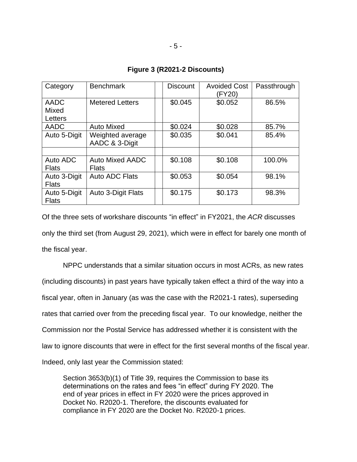| Category                     | <b>Benchmark</b>                       | <b>Discount</b> | <b>Avoided Cost</b><br>(FY20) | Passthrough |
|------------------------------|----------------------------------------|-----------------|-------------------------------|-------------|
| <b>AADC</b><br>Mixed         | <b>Metered Letters</b>                 | \$0.045         | \$0.052                       | 86.5%       |
| Letters                      |                                        |                 |                               |             |
| <b>AADC</b>                  | <b>Auto Mixed</b>                      | \$0.024         | \$0.028                       | 85.7%       |
| Auto 5-Digit                 | Weighted average<br>AADC & 3-Digit     | \$0.035         | \$0.041                       | 85.4%       |
|                              |                                        |                 |                               |             |
| Auto ADC<br><b>Flats</b>     | <b>Auto Mixed AADC</b><br><b>Flats</b> | \$0.108         | \$0.108                       | 100.0%      |
| Auto 3-Digit<br><b>Flats</b> | <b>Auto ADC Flats</b>                  | \$0.053         | \$0.054                       | 98.1%       |
| Auto 5-Digit<br><b>Flats</b> | Auto 3-Digit Flats                     | \$0.175         | \$0.173                       | 98.3%       |

**Figure 3 (R2021-2 Discounts)**

Of the three sets of workshare discounts "in effect" in FY2021, the *ACR* discusses only the third set (from August 29, 2021), which were in effect for barely one month of the fiscal year.

NPPC understands that a similar situation occurs in most ACRs, as new rates (including discounts) in past years have typically taken effect a third of the way into a fiscal year, often in January (as was the case with the R2021-1 rates), superseding rates that carried over from the preceding fiscal year. To our knowledge, neither the Commission nor the Postal Service has addressed whether it is consistent with the law to ignore discounts that were in effect for the first several months of the fiscal year. Indeed, only last year the Commission stated:

Section 3653(b)(1) of Title 39, requires the Commission to base its determinations on the rates and fees "in effect" during FY 2020. The end of year prices in effect in FY 2020 were the prices approved in Docket No. R2020-1. Therefore, the discounts evaluated for compliance in FY 2020 are the Docket No. R2020-1 prices.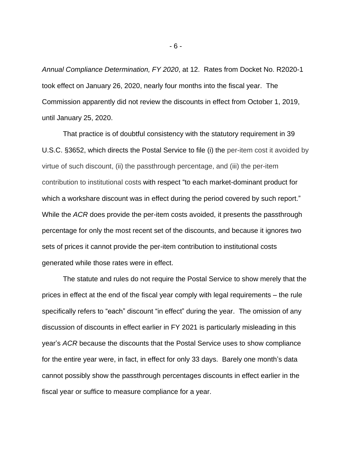*Annual Compliance Determination, FY 2020*, at 12. Rates from Docket No. R2020-1 took effect on January 26, 2020, nearly four months into the fiscal year. The Commission apparently did not review the discounts in effect from October 1, 2019, until January 25, 2020.

That practice is of doubtful consistency with the statutory requirement in 39 U.S.C. §3652, which directs the Postal Service to file (i) the per-item cost it avoided by virtue of such discount, (ii) the passthrough percentage, and (iii) the per-item contribution to institutional costs with respect "to each market-dominant product for which a workshare discount was in effect during the period covered by such report." While the *ACR* does provide the per-item costs avoided, it presents the passthrough percentage for only the most recent set of the discounts, and because it ignores two sets of prices it cannot provide the per-item contribution to institutional costs generated while those rates were in effect.

The statute and rules do not require the Postal Service to show merely that the prices in effect at the end of the fiscal year comply with legal requirements – the rule specifically refers to "each" discount "in effect" during the year. The omission of any discussion of discounts in effect earlier in FY 2021 is particularly misleading in this year's *ACR* because the discounts that the Postal Service uses to show compliance for the entire year were, in fact, in effect for only 33 days. Barely one month's data cannot possibly show the passthrough percentages discounts in effect earlier in the fiscal year or suffice to measure compliance for a year.

- 6 -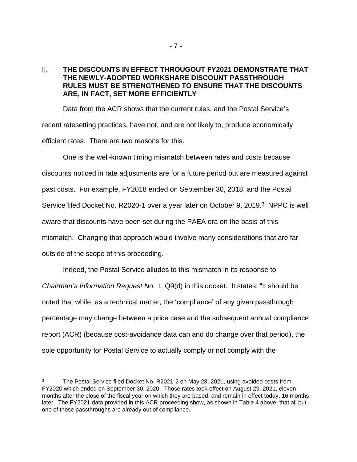#### II. **THE DISCOUNTS IN EFFECT THROUGOUT FY2021 DEMONSTRATE THAT THE NEWLY-ADOPTED WORKSHARE DISCOUNT PASSTHROUGH RULES MUST BE STRENGTHENED TO ENSURE THAT THE DISCOUNTS ARE, IN FACT, SET MORE EFFICIENTLY**

Data from the ACR shows that the current rules, and the Postal Service's recent ratesetting practices, have not, and are not likely to, produce economically efficient rates. There are two reasons for this.

One is the well-known timing mismatch between rates and costs because discounts noticed in rate adjustments are for a future period but are measured against past costs. For example, FY2018 ended on September 30, 2018, and the Postal Service filed Docket No. R2020-1 over a year later on October 9, 2019.<sup>3</sup> NPPC is well aware that discounts have been set during the PAEA era on the basis of this mismatch. Changing that approach would involve many considerations that are far outside of the scope of this proceeding.

Indeed, the Postal Service alludes to this mismatch in its response to *Chairman's Information Request No.* 1, Q9(d) in this docket. It states: "It should be noted that while, as a technical matter, the 'compliance' of any given passthrough percentage may change between a price case and the subsequent annual compliance report (ACR) (because cost-avoidance data can and do change over that period), the sole opportunity for Postal Service to actually comply or not comply with the

<sup>3</sup> The Postal Service filed Docket No. R2021-2 on May 28, 2021, using avoided costs from FY2020 which ended on September 30, 2020. Those rates took effect on August 29, 2021, eleven months after the close of the fiscal year on which they are based, and remain in effect today, 16 months later. The FY2021 data provided in this ACR proceeding show, as shown in Table 4 above, that all but one of those passthroughs are already out of compliance.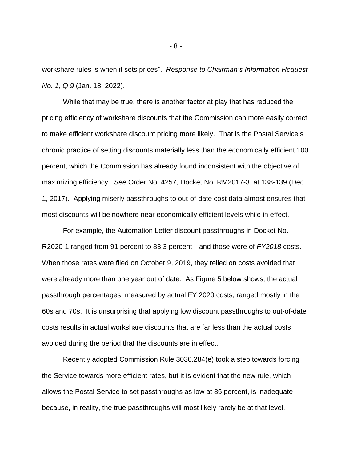workshare rules is when it sets prices". *Response to Chairman's Information Request No. 1, Q 9* (Jan. 18, 2022).

While that may be true, there is another factor at play that has reduced the pricing efficiency of workshare discounts that the Commission can more easily correct to make efficient workshare discount pricing more likely. That is the Postal Service's chronic practice of setting discounts materially less than the economically efficient 100 percent, which the Commission has already found inconsistent with the objective of maximizing efficiency. *See* Order No. 4257, Docket No. RM2017-3, at 138-139 (Dec. 1, 2017). Applying miserly passthroughs to out-of-date cost data almost ensures that most discounts will be nowhere near economically efficient levels while in effect.

For example, the Automation Letter discount passthroughs in Docket No. R2020-1 ranged from 91 percent to 83.3 percent—and those were of *FY2018* costs. When those rates were filed on October 9, 2019, they relied on costs avoided that were already more than one year out of date. As Figure 5 below shows, the actual passthrough percentages, measured by actual FY 2020 costs, ranged mostly in the 60s and 70s. It is unsurprising that applying low discount passthroughs to out-of-date costs results in actual workshare discounts that are far less than the actual costs avoided during the period that the discounts are in effect.

Recently adopted Commission Rule 3030.284(e) took a step towards forcing the Service towards more efficient rates, but it is evident that the new rule, which allows the Postal Service to set passthroughs as low at 85 percent, is inadequate because, in reality, the true passthroughs will most likely rarely be at that level.

- 8 -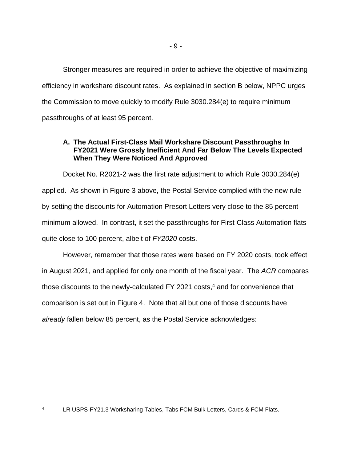Stronger measures are required in order to achieve the objective of maximizing efficiency in workshare discount rates. As explained in section B below, NPPC urges the Commission to move quickly to modify Rule 3030.284(e) to require minimum passthroughs of at least 95 percent.

# **A. The Actual First-Class Mail Workshare Discount Passthroughs In FY2021 Were Grossly Inefficient And Far Below The Levels Expected When They Were Noticed And Approved**

Docket No. R2021-2 was the first rate adjustment to which Rule 3030.284(e) applied. As shown in Figure 3 above, the Postal Service complied with the new rule by setting the discounts for Automation Presort Letters very close to the 85 percent minimum allowed. In contrast, it set the passthroughs for First-Class Automation flats quite close to 100 percent, albeit of *FY2020* costs.

However, remember that those rates were based on FY 2020 costs, took effect in August 2021, and applied for only one month of the fiscal year. The *ACR* compares those discounts to the newly-calculated FY 2021 costs, <sup>4</sup> and for convenience that comparison is set out in Figure 4. Note that all but one of those discounts have *already* fallen below 85 percent, as the Postal Service acknowledges:

- 9 -

<sup>4</sup> LR USPS-FY21.3 Worksharing Tables, Tabs FCM Bulk Letters, Cards & FCM Flats.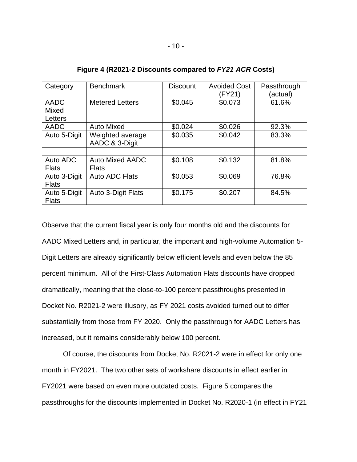| Category     | <b>Benchmark</b>          | <b>Discount</b> | <b>Avoided Cost</b><br>(FY21) | Passthrough<br>(actual) |
|--------------|---------------------------|-----------------|-------------------------------|-------------------------|
| <b>AADC</b>  | <b>Metered Letters</b>    | \$0.045         | \$0.073                       | 61.6%                   |
| Mixed        |                           |                 |                               |                         |
| Letters      |                           |                 |                               |                         |
| AADC         | <b>Auto Mixed</b>         | \$0.024         | \$0.026                       | 92.3%                   |
| Auto 5-Digit | Weighted average          | \$0.035         | \$0.042                       | 83.3%                   |
|              | AADC & 3-Digit            |                 |                               |                         |
|              |                           |                 |                               |                         |
| Auto ADC     | <b>Auto Mixed AADC</b>    | \$0.108         | \$0.132                       | 81.8%                   |
| <b>Flats</b> | <b>Flats</b>              |                 |                               |                         |
| Auto 3-Digit | Auto ADC Flats            | \$0.053         | \$0.069                       | 76.8%                   |
| <b>Flats</b> |                           |                 |                               |                         |
| Auto 5-Digit | <b>Auto 3-Digit Flats</b> | \$0.175         | \$0.207                       | 84.5%                   |
| <b>Flats</b> |                           |                 |                               |                         |

**Figure 4 (R2021-2 Discounts compared to** *FY21 ACR* **Costs)**

Observe that the current fiscal year is only four months old and the discounts for AADC Mixed Letters and, in particular, the important and high-volume Automation 5- Digit Letters are already significantly below efficient levels and even below the 85 percent minimum. All of the First-Class Automation Flats discounts have dropped dramatically, meaning that the close-to-100 percent passthroughs presented in Docket No. R2021-2 were illusory, as FY 2021 costs avoided turned out to differ substantially from those from FY 2020. Only the passthrough for AADC Letters has increased, but it remains considerably below 100 percent.

Of course, the discounts from Docket No. R2021-2 were in effect for only one month in FY2021. The two other sets of workshare discounts in effect earlier in FY2021 were based on even more outdated costs. Figure 5 compares the passthroughs for the discounts implemented in Docket No. R2020-1 (in effect in FY21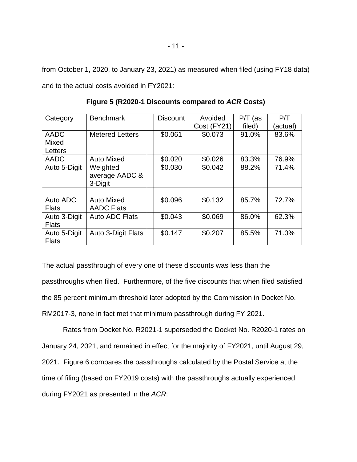from October 1, 2020, to January 23, 2021) as measured when filed (using FY18 data) and to the actual costs avoided in FY2021:

| Category     | <b>Benchmark</b>       | <b>Discount</b> | Avoided     | $P/T$ (as | P/T      |
|--------------|------------------------|-----------------|-------------|-----------|----------|
|              |                        |                 | Cost (FY21) | filed)    | (actual) |
| AADC         | <b>Metered Letters</b> | \$0.061         | \$0.073     | 91.0%     | 83.6%    |
| <b>Mixed</b> |                        |                 |             |           |          |
| Letters      |                        |                 |             |           |          |
| AADC         | <b>Auto Mixed</b>      | \$0.020         | \$0.026     | 83.3%     | 76.9%    |
| Auto 5-Digit | Weighted               | \$0.030         | \$0.042     | 88.2%     | 71.4%    |
|              | average AADC &         |                 |             |           |          |
|              | 3-Digit                |                 |             |           |          |
|              |                        |                 |             |           |          |
| Auto ADC     | <b>Auto Mixed</b>      | \$0.096         | \$0.132     | 85.7%     | 72.7%    |
| <b>Flats</b> | <b>AADC Flats</b>      |                 |             |           |          |
| Auto 3-Digit | <b>Auto ADC Flats</b>  | \$0.043         | \$0.069     | 86.0%     | 62.3%    |
| <b>Flats</b> |                        |                 |             |           |          |
| Auto 5-Digit | Auto 3-Digit Flats     | \$0.147         | \$0.207     | 85.5%     | 71.0%    |
| <b>Flats</b> |                        |                 |             |           |          |

**Figure 5 (R2020-1 Discounts compared to** *ACR* **Costs)**

The actual passthrough of every one of these discounts was less than the passthroughs when filed. Furthermore, of the five discounts that when filed satisfied the 85 percent minimum threshold later adopted by the Commission in Docket No. RM2017-3, none in fact met that minimum passthrough during FY 2021.

Rates from Docket No. R2021-1 superseded the Docket No. R2020-1 rates on January 24, 2021, and remained in effect for the majority of FY2021, until August 29, 2021. Figure 6 compares the passthroughs calculated by the Postal Service at the time of filing (based on FY2019 costs) with the passthroughs actually experienced during FY2021 as presented in the *ACR*: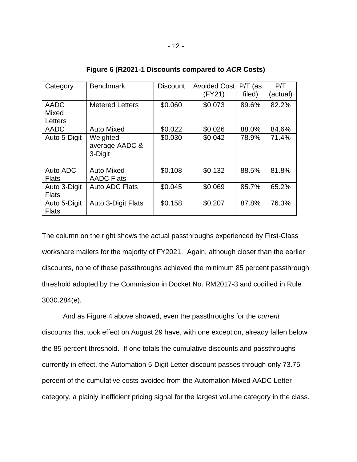| Category                               | <b>Benchmark</b>                       | <b>Discount</b> | Avoided Cost<br>(FY21) | $P/T$ (as<br>filed) | P/T<br>(actual) |
|----------------------------------------|----------------------------------------|-----------------|------------------------|---------------------|-----------------|
| <b>AADC</b><br><b>Mixed</b><br>Letters | <b>Metered Letters</b>                 | \$0.060         | \$0.073                | 89.6%               | 82.2%           |
| <b>AADC</b>                            | <b>Auto Mixed</b>                      | \$0.022         | \$0.026                | 88.0%               | 84.6%           |
| Auto 5-Digit                           | Weighted<br>average AADC &<br>3-Digit  | \$0.030         | \$0.042                | 78.9%               | 71.4%           |
|                                        |                                        |                 |                        |                     |                 |
| Auto ADC<br><b>Flats</b>               | <b>Auto Mixed</b><br><b>AADC Flats</b> | \$0.108         | \$0.132                | 88.5%               | 81.8%           |
| Auto 3-Digit<br><b>Flats</b>           | <b>Auto ADC Flats</b>                  | \$0.045         | \$0.069                | 85.7%               | 65.2%           |
| Auto 5-Digit<br><b>Flats</b>           | <b>Auto 3-Digit Flats</b>              | \$0.158         | \$0.207                | 87.8%               | 76.3%           |

**Figure 6 (R2021-1 Discounts compared to** *ACR* **Costs)**

The column on the right shows the actual passthroughs experienced by First-Class workshare mailers for the majority of FY2021. Again, although closer than the earlier discounts, none of these passthroughs achieved the minimum 85 percent passthrough threshold adopted by the Commission in Docket No. RM2017-3 and codified in Rule 3030.284(e).

And as Figure 4 above showed, even the passthroughs for the *current* discounts that took effect on August 29 have, with one exception, already fallen below the 85 percent threshold. If one totals the cumulative discounts and passthroughs currently in effect, the Automation 5-Digit Letter discount passes through only 73.75 percent of the cumulative costs avoided from the Automation Mixed AADC Letter category, a plainly inefficient pricing signal for the largest volume category in the class.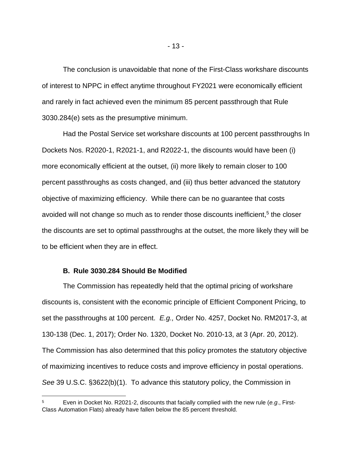The conclusion is unavoidable that none of the First-Class workshare discounts of interest to NPPC in effect anytime throughout FY2021 were economically efficient and rarely in fact achieved even the minimum 85 percent passthrough that Rule 3030.284(e) sets as the presumptive minimum.

Had the Postal Service set workshare discounts at 100 percent passthroughs In Dockets Nos. R2020-1, R2021-1, and R2022-1, the discounts would have been (i) more economically efficient at the outset, (ii) more likely to remain closer to 100 percent passthroughs as costs changed, and (iii) thus better advanced the statutory objective of maximizing efficiency. While there can be no guarantee that costs avoided will not change so much as to render those discounts inefficient,<sup>5</sup> the closer the discounts are set to optimal passthroughs at the outset, the more likely they will be to be efficient when they are in effect.

#### **B. Rule 3030.284 Should Be Modified**

The Commission has repeatedly held that the optimal pricing of workshare discounts is, consistent with the economic principle of Efficient Component Pricing, to set the passthroughs at 100 percent. *E.g.,* Order No. 4257, Docket No. RM2017-3, at 130-138 (Dec. 1, 2017); Order No. 1320, Docket No. 2010-13, at 3 (Apr. 20, 2012). The Commission has also determined that this policy promotes the statutory objective of maximizing incentives to reduce costs and improve efficiency in postal operations. *See* 39 U.S.C. §3622(b)(1). To advance this statutory policy, the Commission in

<sup>5</sup> Even in Docket No. R2021-2, discounts that facially complied with the new rule (*e.g*., First-Class Automation Flats) already have fallen below the 85 percent threshold.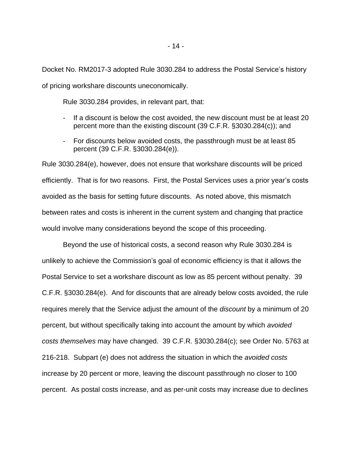Docket No. RM2017-3 adopted Rule 3030.284 to address the Postal Service's history of pricing workshare discounts uneconomically.

Rule 3030.284 provides, in relevant part, that:

- If a discount is below the cost avoided, the new discount must be at least 20 percent more than the existing discount (39 C.F.R. §3030.284(c)); and
- For discounts below avoided costs, the passthrough must be at least 85 percent (39 C.F.R. §3030.284(e)).

Rule 3030.284(e), however, does not ensure that workshare discounts will be priced efficiently. That is for two reasons. First, the Postal Services uses a prior year's costs avoided as the basis for setting future discounts. As noted above, this mismatch between rates and costs is inherent in the current system and changing that practice would involve many considerations beyond the scope of this proceeding.

Beyond the use of historical costs, a second reason why Rule 3030.284 is unlikely to achieve the Commission's goal of economic efficiency is that it allows the Postal Service to set a workshare discount as low as 85 percent without penalty. 39 C.F.R. §3030.284(e). And for discounts that are already below costs avoided, the rule requires merely that the Service adjust the amount of the *discount* by a minimum of 20 percent, but without specifically taking into account the amount by which *avoided costs themselves* may have changed. 39 C.F.R. §3030.284(c); see Order No. 5763 at 216-218. Subpart (e) does not address the situation in which the *avoided costs* increase by 20 percent or more, leaving the discount passthrough no closer to 100 percent. As postal costs increase, and as per-unit costs may increase due to declines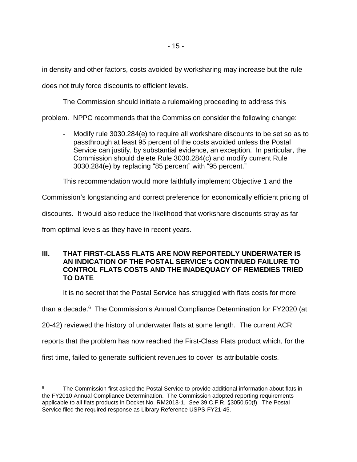in density and other factors, costs avoided by worksharing may increase but the rule does not truly force discounts to efficient levels.

The Commission should initiate a rulemaking proceeding to address this

problem. NPPC recommends that the Commission consider the following change:

Modify rule 3030.284(e) to require all workshare discounts to be set so as to passthrough at least 95 percent of the costs avoided unless the Postal Service can justify, by substantial evidence, an exception. In particular, the Commission should delete Rule 3030.284(c) and modify current Rule 3030.284(e) by replacing "85 percent" with "95 percent."

This recommendation would more faithfully implement Objective 1 and the

Commission's longstanding and correct preference for economically efficient pricing of

discounts. It would also reduce the likelihood that workshare discounts stray as far

from optimal levels as they have in recent years.

# **III. THAT FIRST-CLASS FLATS ARE NOW REPORTEDLY UNDERWATER IS AN INDICATION OF THE POSTAL SERVICE's CONTINUED FAILURE TO CONTROL FLATS COSTS AND THE INADEQUACY OF REMEDIES TRIED TO DATE**

It is no secret that the Postal Service has struggled with flats costs for more

than a decade.<sup>6</sup> The Commission's Annual Compliance Determination for FY2020 (at

20-42) reviewed the history of underwater flats at some length. The current ACR

reports that the problem has now reached the First-Class Flats product which, for the

first time, failed to generate sufficient revenues to cover its attributable costs.

The Commission first asked the Postal Service to provide additional information about flats in the FY2010 Annual Compliance Determination. The Commission adopted reporting requirements applicable to all flats products in Docket No. RM2018-1. *See* 39 C.F.R. §3050.50(f). The Postal Service filed the required response as Library Reference USPS-FY21-45.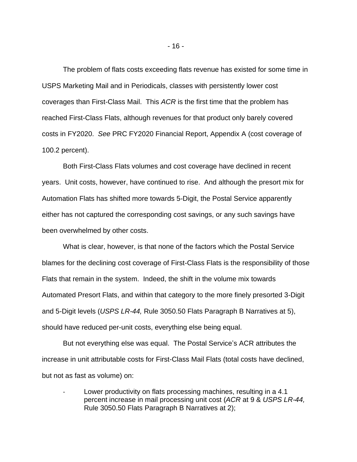The problem of flats costs exceeding flats revenue has existed for some time in USPS Marketing Mail and in Periodicals, classes with persistently lower cost coverages than First-Class Mail. This *ACR* is the first time that the problem has reached First-Class Flats, although revenues for that product only barely covered costs in FY2020. *See* PRC FY2020 Financial Report, Appendix A (cost coverage of 100.2 percent).

Both First-Class Flats volumes and cost coverage have declined in recent years. Unit costs, however, have continued to rise. And although the presort mix for Automation Flats has shifted more towards 5-Digit, the Postal Service apparently either has not captured the corresponding cost savings, or any such savings have been overwhelmed by other costs.

What is clear, however, is that none of the factors which the Postal Service blames for the declining cost coverage of First-Class Flats is the responsibility of those Flats that remain in the system. Indeed, the shift in the volume mix towards Automated Presort Flats, and within that category to the more finely presorted 3-Digit and 5-Digit levels (*USPS LR-44,* Rule 3050.50 Flats Paragraph B Narratives at 5), should have reduced per-unit costs, everything else being equal.

But not everything else was equal. The Postal Service's ACR attributes the increase in unit attributable costs for First-Class Mail Flats (total costs have declined, but not as fast as volume) on:

Lower productivity on flats processing machines, resulting in a 4.1 percent increase in mail processing unit cost (*ACR* at 9 & *USPS LR-44,* Rule 3050.50 Flats Paragraph B Narratives at 2);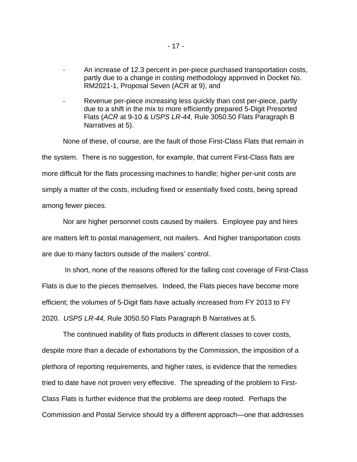- An increase of 12.3 percent in per-piece purchased transportation costs, partly due to a change in costing methodology approved in Docket No. RM2021-1, Proposal Seven (ACR at 9); and
- Revenue per-piece increasing less quickly than cost per-piece, partly due to a shift in the mix to more efficiently prepared 5-Digit Presorted Flats (*ACR* at 9-10 & *USPS LR-44,* Rule 3050.50 Flats Paragraph B Narratives at 5).

None of these, of course, are the fault of those First-Class Flats that remain in the system. There is no suggestion, for example, that current First-Class flats are more difficult for the flats processing machines to handle; higher per-unit costs are simply a matter of the costs, including fixed or essentially fixed costs, being spread among fewer pieces.

Nor are higher personnel costs caused by mailers. Employee pay and hires are matters left to postal management, not mailers. And higher transportation costs are due to many factors outside of the mailers' control.

In short, none of the reasons offered for the falling cost coverage of First-Class Flats is due to the pieces themselves. Indeed, the Flats pieces have become more efficient; the volumes of 5-Digit flats have actually increased from FY 2013 to FY 2020. *USPS LR-44,* Rule 3050.50 Flats Paragraph B Narratives at 5.

The continued inability of flats products in different classes to cover costs, despite more than a decade of exhortations by the Commission, the imposition of a plethora of reporting requirements, and higher rates, is evidence that the remedies tried to date have not proven very effective. The spreading of the problem to First-Class Flats is further evidence that the problems are deep rooted. Perhaps the Commission and Postal Service should try a different approach—one that addresses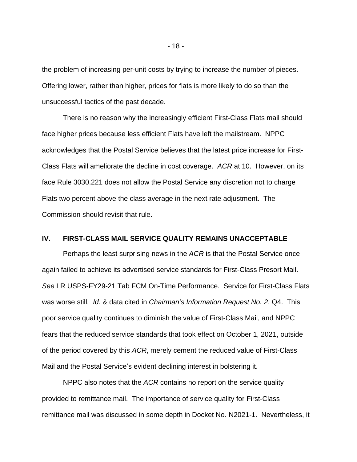the problem of increasing per-unit costs by trying to increase the number of pieces. Offering lower, rather than higher, prices for flats is more likely to do so than the unsuccessful tactics of the past decade.

There is no reason why the increasingly efficient First-Class Flats mail should face higher prices because less efficient Flats have left the mailstream. NPPC acknowledges that the Postal Service believes that the latest price increase for First-Class Flats will ameliorate the decline in cost coverage. *ACR* at 10. However, on its face Rule 3030.221 does not allow the Postal Service any discretion not to charge Flats two percent above the class average in the next rate adjustment. The Commission should revisit that rule.

#### **IV. FIRST-CLASS MAIL SERVICE QUALITY REMAINS UNACCEPTABLE**

Perhaps the least surprising news in the *ACR* is that the Postal Service once again failed to achieve its advertised service standards for First-Class Presort Mail. *See* LR USPS-FY29-21 Tab FCM On-Time Performance. Service for First-Class Flats was worse still. *Id*. & data cited in *Chairman's Information Request No. 2*, Q4. This poor service quality continues to diminish the value of First-Class Mail, and NPPC fears that the reduced service standards that took effect on October 1, 2021, outside of the period covered by this *ACR*, merely cement the reduced value of First-Class Mail and the Postal Service's evident declining interest in bolstering it.

NPPC also notes that the *ACR* contains no report on the service quality provided to remittance mail. The importance of service quality for First-Class remittance mail was discussed in some depth in Docket No. N2021-1. Nevertheless, it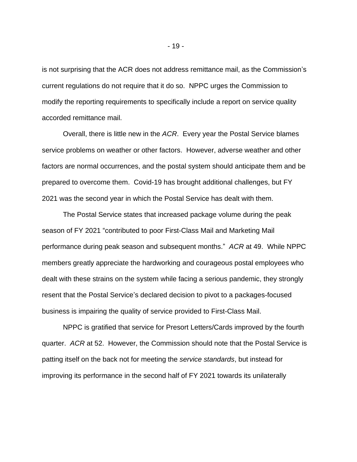is not surprising that the ACR does not address remittance mail, as the Commission's current regulations do not require that it do so. NPPC urges the Commission to modify the reporting requirements to specifically include a report on service quality accorded remittance mail.

Overall, there is little new in the *ACR*. Every year the Postal Service blames service problems on weather or other factors. However, adverse weather and other factors are normal occurrences, and the postal system should anticipate them and be prepared to overcome them. Covid-19 has brought additional challenges, but FY 2021 was the second year in which the Postal Service has dealt with them.

The Postal Service states that increased package volume during the peak season of FY 2021 "contributed to poor First-Class Mail and Marketing Mail performance during peak season and subsequent months." *ACR* at 49. While NPPC members greatly appreciate the hardworking and courageous postal employees who dealt with these strains on the system while facing a serious pandemic, they strongly resent that the Postal Service's declared decision to pivot to a packages-focused business is impairing the quality of service provided to First-Class Mail.

NPPC is gratified that service for Presort Letters/Cards improved by the fourth quarter. *ACR* at 52. However, the Commission should note that the Postal Service is patting itself on the back not for meeting the *service standards*, but instead for improving its performance in the second half of FY 2021 towards its unilaterally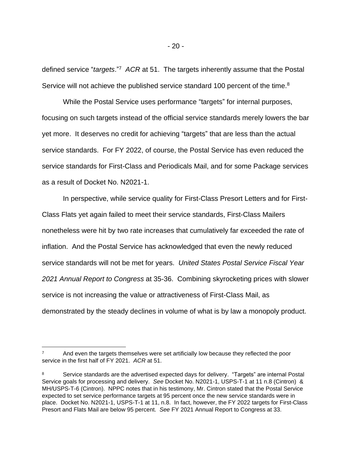defined service "*targets*." 7 *ACR* at 51. The targets inherently assume that the Postal Service will not achieve the published service standard 100 percent of the time.<sup>8</sup>

While the Postal Service uses performance "targets" for internal purposes, focusing on such targets instead of the official service standards merely lowers the bar yet more. It deserves no credit for achieving "targets" that are less than the actual service standards. For FY 2022, of course, the Postal Service has even reduced the service standards for First-Class and Periodicals Mail, and for some Package services as a result of Docket No. N2021-1.

In perspective, while service quality for First-Class Presort Letters and for First-Class Flats yet again failed to meet their service standards, First-Class Mailers nonetheless were hit by two rate increases that cumulatively far exceeded the rate of inflation. And the Postal Service has acknowledged that even the newly reduced service standards will not be met for years. *United States Postal Service Fiscal Year 2021 Annual Report to Congress* at 35-36. Combining skyrocketing prices with slower service is not increasing the value or attractiveness of First-Class Mail, as demonstrated by the steady declines in volume of what is by law a monopoly product.

<sup>7</sup> And even the targets themselves were set artificially low because they reflected the poor service in the first half of FY 2021. *ACR* at 51.

<sup>&</sup>lt;sup>8</sup> Service standards are the advertised expected days for delivery. "Targets" are internal Postal Service goals for processing and delivery. *See* Docket No. N2021-1, USPS-T-1 at 11 n.8 (Cintron) & MH/USPS-T-6 (Cintron). NPPC notes that in his testimony, Mr. Cintron stated that the Postal Service expected to set service performance targets at 95 percent once the new service standards were in place. Docket No. N2021-1, USPS-T-1 at 11, n.8. In fact, however, the FY 2022 targets for First-Class Presort and Flats Mail are below 95 percent. *See* FY 2021 Annual Report to Congress at 33.